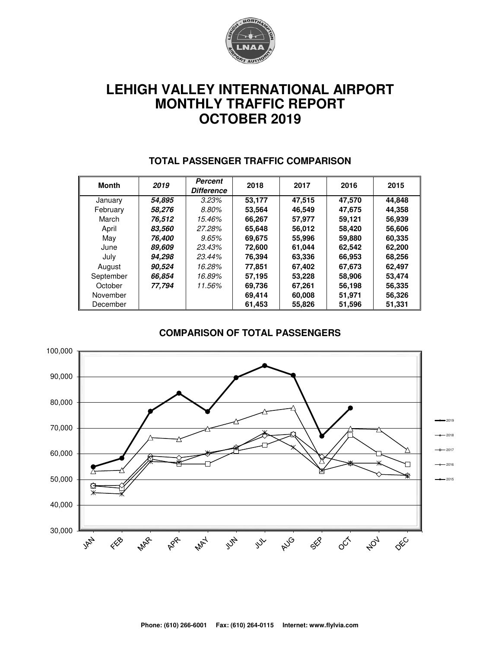

# **LEHIGH VALLEY INTERNATIONAL AIRPORT MONTHLY TRAFFIC REPORT OCTOBER 2019**

| <b>Month</b> | 2019   | Percent<br><b>Difference</b> | 2018   | 2017   | 2016   | 2015   |
|--------------|--------|------------------------------|--------|--------|--------|--------|
| January      | 54.895 | 3.23%                        | 53,177 | 47,515 | 47,570 | 44,848 |
| February     | 58.276 | 8.80%                        | 53.564 | 46.549 | 47,675 | 44,358 |
| March        | 76.512 | 15.46%                       | 66.267 | 57.977 | 59,121 | 56,939 |
| April        | 83,560 | 27.28%                       | 65,648 | 56,012 | 58,420 | 56,606 |
| May          | 76.400 | 9.65%                        | 69.675 | 55,996 | 59,880 | 60,335 |
| June         | 89,609 | 23.43%                       | 72,600 | 61.044 | 62,542 | 62,200 |
| July         | 94,298 | 23.44%                       | 76,394 | 63,336 | 66,953 | 68,256 |
| August       | 90,524 | 16.28%                       | 77.851 | 67,402 | 67,673 | 62,497 |
| September    | 66,854 | 16.89%                       | 57,195 | 53,228 | 58,906 | 53,474 |
| October      | 77.794 | 11.56%                       | 69,736 | 67,261 | 56,198 | 56,335 |
| November     |        |                              | 69,414 | 60,008 | 51,971 | 56,326 |
| December     |        |                              | 61.453 | 55.826 | 51,596 | 51,331 |

#### **TOTAL PASSENGER TRAFFIC COMPARISON**

#### **COMPARISON OF TOTAL PASSENGERS**

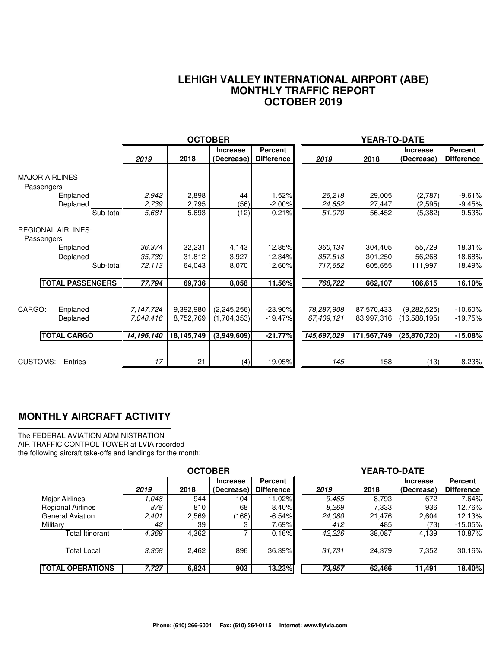#### **LEHIGH VALLEY INTERNATIONAL AIRPORT (ABE) MONTHLY TRAFFIC REPORT OCTOBER 2019**

|                                                      |                                      | <b>OCTOBER</b>                       |                                             |                                     |                                         | YEAR-TO-DATE                            |                                               |                                      |
|------------------------------------------------------|--------------------------------------|--------------------------------------|---------------------------------------------|-------------------------------------|-----------------------------------------|-----------------------------------------|-----------------------------------------------|--------------------------------------|
|                                                      | 2019                                 | 2018                                 | <b>Increase</b><br>(Decrease)               | Percent<br><b>Difference</b>        | 2019                                    | 2018                                    | <b>Increase</b><br>(Decrease)                 | Percent<br><b>Difference</b>         |
| <b>MAJOR AIRLINES:</b><br>Passengers                 |                                      |                                      |                                             |                                     |                                         |                                         |                                               |                                      |
| Enplaned                                             | 2,942<br>2,739                       | 2,898                                | 44                                          | 1.52%                               | 26,218                                  | 29,005                                  | (2,787)                                       | $-9.61%$                             |
| Deplaned<br>Sub-total                                | 5,681                                | 2,795<br>5,693                       | (56)<br>(12)                                | $-2.00%$<br>$-0.21%$                | 24,852<br>51,070                        | 27,447<br>56,452                        | (2,595)<br>(5,382)                            | $-9.45%$<br>$-9.53%$                 |
| <b>REGIONAL AIRLINES:</b><br>Passengers              |                                      |                                      |                                             |                                     |                                         |                                         |                                               |                                      |
| Enplaned                                             | 36,374                               | 32,231                               | 4,143                                       | 12.85%                              | 360,134                                 | 304,405                                 | 55,729                                        | 18.31%                               |
| Deplaned                                             | 35,739                               | 31,812                               | 3,927                                       | 12.34%                              | 357,518                                 | 301,250                                 | 56,268                                        | 18.68%                               |
| Sub-total                                            | 72,113                               | 64,043                               | 8,070                                       | 12.60%                              | 717,652                                 | 605,655                                 | 111,997                                       | 18.49%                               |
| <b>TOTAL PASSENGERS</b>                              | 77,794                               | 69,736                               | 8,058                                       | 11.56%                              | 768,722                                 | 662,107                                 | 106,615                                       | 16.10%                               |
| CARGO:<br>Enplaned<br>Deplaned<br><b>TOTAL CARGO</b> | 7,147,724<br>7.048.416<br>14,196,140 | 9,392,980<br>8,752,769<br>18,145,749 | (2, 245, 256)<br>(1,704,353)<br>(3,949,609) | $-23.90%$<br>$-19.47%$<br>$-21.77%$ | 78,287,908<br>67,409,121<br>145,697,029 | 87,570,433<br>83,997,316<br>171,567,749 | (9,282,525)<br>(16,588,195)<br>(25, 870, 720) | $-10.60\%$<br>$-19.75%$<br>$-15.08%$ |
| CUSTOMS:<br>Entries                                  | 17                                   | 21                                   | (4)                                         | $-19.05%$                           | 145                                     | 158                                     | (13)                                          | $-8.23%$                             |

### **MONTHLY AIRCRAFT ACTIVITY**

The FEDERAL AVIATION ADMINISTRATION AIR TRAFFIC CONTROL TOWER at LVIA recorded the following aircraft take-offs and landings for the month:

|                          | <b>OCTOBER</b> |       |                 |                   | <b>YEAR-TO-DATE</b> |        |                 |                   |  |  |
|--------------------------|----------------|-------|-----------------|-------------------|---------------------|--------|-----------------|-------------------|--|--|
|                          |                |       | <b>Increase</b> | <b>Percent</b>    |                     |        | <b>Increase</b> | Percent           |  |  |
|                          | 2019           | 2018  | (Decrease)      | <b>Difference</b> | 2019                | 2018   | (Decrease)      | <b>Difference</b> |  |  |
| <b>Major Airlines</b>    | .048           | 944   | 104             | 11.02%            | 9.465               | 8,793  | 672             | 7.64%             |  |  |
| <b>Regional Airlines</b> | 878            | 810   | 68              | $8.40\%$          | 8,269               | 7,333  | 936             | 12.76%            |  |  |
| <b>General Aviation</b>  | 2,401          | 2,569 | (168)           | $-6.54%$          | 24,080              | 21,476 | 2,604           | 12.13%I           |  |  |
| Military                 | 42             | 39    |                 | 7.69%             | 412                 | 485    | (73)            | $-15.05\%$        |  |  |
| Total Itinerant          | 4,369          | 4,362 |                 | 0.16%             | 42,226              | 38,087 | 4,139           | 10.87%            |  |  |
| <b>Total Local</b>       | 3,358          | 2,462 | 896             | 36.39%            | 31,731              | 24.379 | 7,352           | 30.16%            |  |  |
| <b>ITOTAL OPERATIONS</b> | 7,727          | 6,824 | 903             | 13.23%            | 73.957              | 62,466 | 11,491          | <b>18.40%</b>     |  |  |